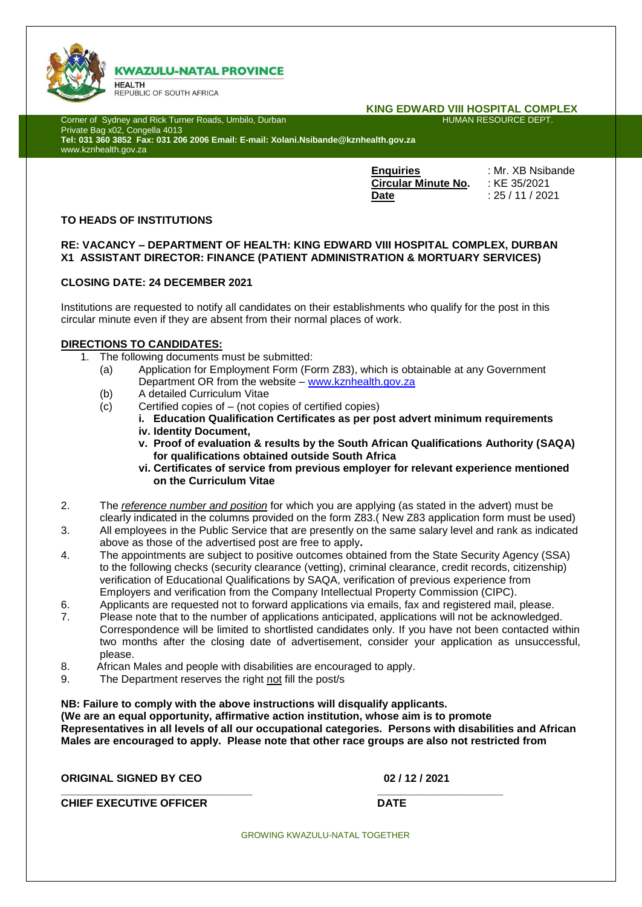

# **KWAZULU-NATAL PROVINCE**

**HEALTH** REPUBLIC OF SOUTH AFRICA

# **KING EDWARD VIII HOSPITAL COMPLEX**

Corner of Sydney and Rick Turner Roads, Umbilo, Durban Private Bag x02, Congella 4013 **Tel: 031 360 3852 Fax: 031 206 2006 Email: E-mail: Xolani.Nsibande@kznhealth.gov.za** www.kznhealth.gov.za

> **Enquiries** : Mr. XB Nsibande **Circular Minute No.** : KE 35/2021 **Date** : 25 / 11 / 2021

### **TO HEADS OF INSTITUTIONS**

## **RE: VACANCY – DEPARTMENT OF HEALTH: KING EDWARD VIII HOSPITAL COMPLEX, DURBAN X1 ASSISTANT DIRECTOR: FINANCE (PATIENT ADMINISTRATION & MORTUARY SERVICES)**

# **CLOSING DATE: 24 DECEMBER 2021**

Institutions are requested to notify all candidates on their establishments who qualify for the post in this circular minute even if they are absent from their normal places of work.

#### **DIRECTIONS TO CANDIDATES:**

- 1. The following documents must be submitted:
	- (a) Application for Employment Form (Form Z83), which is obtainable at any Government Department OR from the website – [www.kznhealth.gov.za](http://www.kznhealth.gov.za/)
	- (b) A detailed Curriculum Vitae
	- $(c)$  Certified copies of  $-$  (not copies of certified copies)
		- **i. Education Qualification Certificates as per post advert minimum requirements iv. Identity Document,**
		- **v. Proof of evaluation & results by the South African Qualifications Authority (SAQA) for qualifications obtained outside South Africa**
		- **vi. Certificates of service from previous employer for relevant experience mentioned on the Curriculum Vitae**
- 2. The *reference number and position* for which you are applying (as stated in the advert) must be clearly indicated in the columns provided on the form Z83.( New Z83 application form must be used)
- 3. All employees in the Public Service that are presently on the same salary level and rank as indicated above as those of the advertised post are free to apply**.**
- 4. The appointments are subject to positive outcomes obtained from the State Security Agency (SSA) to the following checks (security clearance (vetting), criminal clearance, credit records, citizenship) verification of Educational Qualifications by SAQA, verification of previous experience from Employers and verification from the Company Intellectual Property Commission (CIPC).
- 6. Applicants are requested not to forward applications via emails, fax and registered mail, please.
- 7. Please note that to the number of applications anticipated, applications will not be acknowledged. Correspondence will be limited to shortlisted candidates only. If you have not been contacted within two months after the closing date of advertisement, consider your application as unsuccessful, please.
- 8. African Males and people with disabilities are encouraged to apply.
- 9. The Department reserves the right not fill the post/s

**NB: Failure to comply with the above instructions will disqualify applicants. (We are an equal opportunity, affirmative action institution, whose aim is to promote Representatives in all levels of all our occupational categories. Persons with disabilities and African Males are encouraged to apply. Please note that other race groups are also not restricted from** 

**ORIGINAL SIGNED BY CEO 02 / 12 / 2021 \_\_\_\_\_\_\_\_\_\_\_\_\_\_\_\_\_\_\_\_\_\_\_\_\_\_\_\_\_\_\_\_ \_\_\_\_\_\_\_\_\_\_\_\_\_\_\_\_\_\_\_\_\_ CHIEF EXECUTIVE OFFICER DATE** 

GROWING KWAZULU-NATAL TOGETHER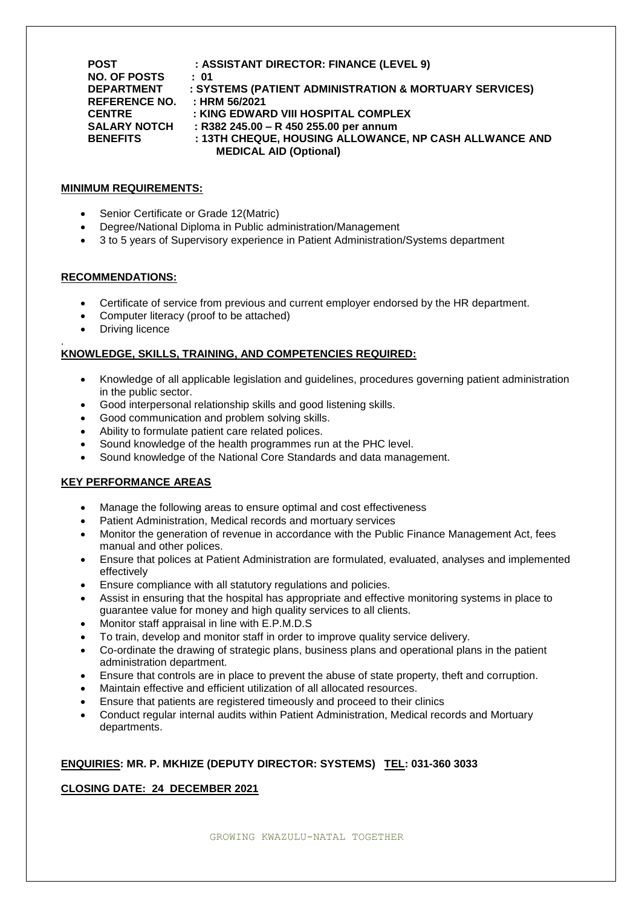| <b>POST</b>          | : ASSISTANT DIRECTOR: FINANCE (LEVEL 9)                |
|----------------------|--------------------------------------------------------|
| <b>NO. OF POSTS</b>  | : 01                                                   |
| <b>DEPARTMENT</b>    | : SYSTEMS (PATIENT ADMINISTRATION & MORTUARY SERVICES) |
| <b>REFERENCE NO.</b> | : HRM 56/2021                                          |
| <b>CENTRE</b>        | : KING EDWARD VIII HOSPITAL COMPLEX                    |
| <b>SALARY NOTCH</b>  | : R382 245.00 - R 450 255.00 per annum                 |
| <b>BENEFITS</b>      | : 13TH CHEQUE, HOUSING ALLOWANCE, NP CASH ALLWANCE AND |
|                      | <b>MEDICAL AID (Optional)</b>                          |

#### **MINIMUM REQUIREMENTS:**

- Senior Certificate or Grade 12(Matric)
- Degree/National Diploma in Public administration/Management
- 3 to 5 years of Supervisory experience in Patient Administration/Systems department

#### **RECOMMENDATIONS:**

- Certificate of service from previous and current employer endorsed by the HR department.
- Computer literacy (proof to be attached)
- Driving licence

#### . **KNOWLEDGE, SKILLS, TRAINING, AND COMPETENCIES REQUIRED:**

- Knowledge of all applicable legislation and guidelines, procedures governing patient administration in the public sector.
- Good interpersonal relationship skills and good listening skills.
- Good communication and problem solving skills.
- Ability to formulate patient care related polices.
- Sound knowledge of the health programmes run at the PHC level.
- Sound knowledge of the National Core Standards and data management.

## **KEY PERFORMANCE AREAS**

- Manage the following areas to ensure optimal and cost effectiveness
- Patient Administration, Medical records and mortuary services
- Monitor the generation of revenue in accordance with the Public Finance Management Act, fees manual and other polices.
- Ensure that polices at Patient Administration are formulated, evaluated, analyses and implemented effectively
- Ensure compliance with all statutory regulations and policies.
- Assist in ensuring that the hospital has appropriate and effective monitoring systems in place to guarantee value for money and high quality services to all clients.
- Monitor staff appraisal in line with E.P.M.D.S
- To train, develop and monitor staff in order to improve quality service delivery.
- Co-ordinate the drawing of strategic plans, business plans and operational plans in the patient administration department.
- Ensure that controls are in place to prevent the abuse of state property, theft and corruption.
- Maintain effective and efficient utilization of all allocated resources.
- Ensure that patients are registered timeously and proceed to their clinics
- Conduct regular internal audits within Patient Administration, Medical records and Mortuary departments.

## **ENQUIRIES: MR. P. MKHIZE (DEPUTY DIRECTOR: SYSTEMS) TEL: 031-360 3033**

# **CLOSING DATE: 24 DECEMBER 2021**